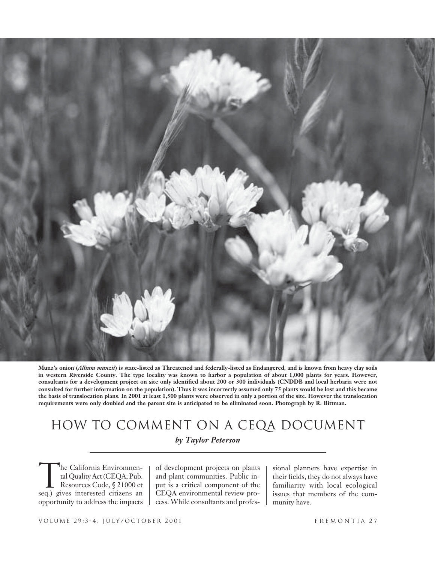

**Munz's onion (***Allium munzii***) is state-listed as Threatened and federally-listed as Endangered, and is known from heavy clay soils in western Riverside County. The type locality was known to harbor a population of about 1,000 plants for years. However, consultants for a development project on site only identified about 200 or 300 individuals (CNDDB and local herbaria were not consulted for further information on the population). Thus it was incorrectly assumed only 75 plants would be lost and this became the basis of translocation plans. In 2001 at least 1,500 plants were observed in only a portion of the site. However the translocation requirements were only doubled and the parent site is anticipated to be eliminated soon. Photograph by R. Bittman.**

# How to Comment on a CEQA Document *by Taylor Peterson*

he California Environmental Quality Act (CEQA; Pub. Resources Code, § 21000 et seq.) gives interested citizens an opportunity to address the impacts T

of development projects on plants and plant communities. Public input is a critical component of the CEQA environmental review process. While consultants and professional planners have expertise in their fields, they do not always have familiarity with local ecological issues that members of the community have.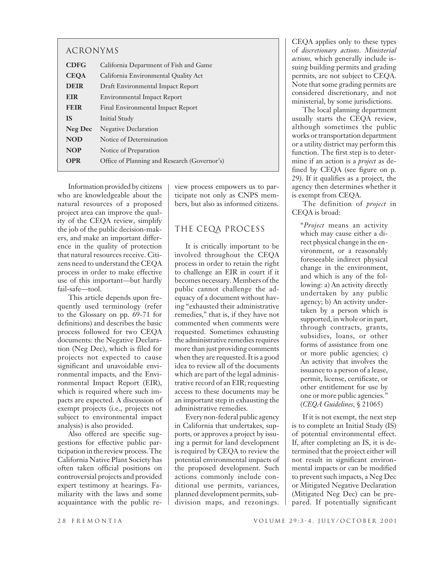| <b>ACRONYMS</b> |                                              |
|-----------------|----------------------------------------------|
| <b>CDFG</b>     | California Department of Fish and Game       |
| <b>CEOA</b>     | California Environmental Quality Act         |
| <b>DEIR</b>     | Draft Environmental Impact Report            |
| <b>EIR</b>      | <b>Environmental Impact Report</b>           |
| <b>FEIR</b>     | Final Environmental Impact Report            |
| <b>IS</b>       | Initial Study                                |
| <b>Neg Dec</b>  | <b>Negative Declaration</b>                  |
| <b>NOD</b>      | Notice of Determination                      |
| <b>NOP</b>      | Notice of Preparation                        |
| <b>OPR</b>      | Office of Planning and Research (Governor's) |

Information provided by citizens who are knowledgeable about the natural resources of a proposed project area can improve the quality of the CEQA review, simplify the job of the public decision-makers, and make an important difference in the quality of protection that natural resources receive. Citizens need to understand the CEQA process in order to make effective use of this important—but hardly fail-safe—tool.

This article depends upon frequently used terminology (refer to the Glossary on pp. 69-71 for definitions) and describes the basic process followed for two CEQA documents: the Negative Declaration (Neg Dec), which is filed for projects not expected to cause significant and unavoidable environmental impacts, and the Environmental Impact Report (EIR), which is required where such impacts are expected. A discussion of exempt projects (i.e., projects not subject to environmental impact analysis) is also provided.

Also offered are specific suggestions for effective public participation in the review process. The California Native Plant Society has often taken official positions on controversial projects and provided expert testimony at hearings. Familiarity with the laws and some acquaintance with the public review process empowers us to participate not only as CNPS members, but also as informed citizens.

# The CEQA Process

It is critically important to be involved throughout the CEQA process in order to retain the right to challenge an EIR in court if it becomes necessary. Members of the public cannot challenge the adequacy of a document without having "exhausted their administrative remedies," that is, if they have not commented when comments were requested. Sometimes exhausting the administrative remedies requires more than just providing comments when they are requested. It is a good idea to review all of the documents which are part of the legal administrative record of an EIR; requesting access to these documents may be an important step in exhausting the administrative remedies.

Every non-federal public agency in California that undertakes, supports, or approves a project by issuing a permit for land development is required by CEQA to review the potential environmental impacts of the proposed development. Such actions commonly include conditional use permits, variances, planned development permits, subdivision maps, and rezonings.

CEQA applies only to these types of *discretionary actions*. *Ministerial actions,* which generally include issuing building permits and grading permits, are not subject to CEQA. Note that some grading permits are considered discretionary, and not ministerial, by some jurisdictions.

The local planning department usually starts the CEQA review, although sometimes the public works or transportation department or a utility district may perform this function. The first step is to determine if an action is a *project* as defined by CEQA (see figure on p. 29). If it qualifies as a project, the agency then determines whether it is exempt from CEQA.

The definition of *project* in CEQA is broad:

"*Project* means an activity which may cause either a direct physical change in the environment, or a reasonably foreseeable indirect physical change in the environment, and which is any of the following: a) An activity directly undertaken by any public agency; b) An activity undertaken by a person which is supported, in whole or in part, through contracts, grants, subsidies, loans, or other forms of assistance from one or more public agencies; c) An activity that involves the issuance to a person of a lease, permit, license, certificate, or other entitlement for use by one or more public agencies." (*CEQA Guidelines*, § 21065)

If it is not exempt, the next step is to complete an Initial Study (IS) of potential environmental effect. If, after completing an IS, it is determined that the project either will not result in significant environmental impacts or can be modified to prevent such impacts, a Neg Dec or Mitigated Negative Declaration (Mitigated Neg Dec) can be prepared. If potentially significant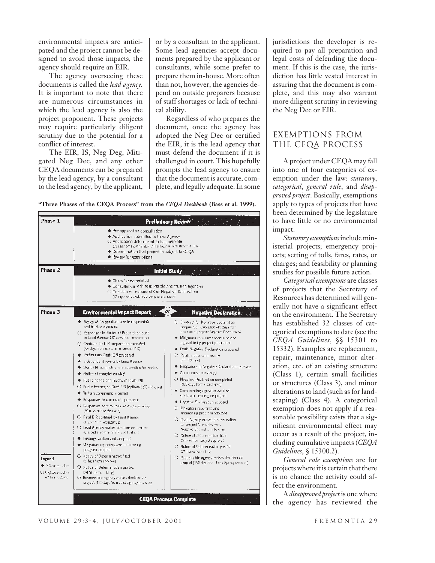environmental impacts are anticipated and the project cannot be designed to avoid those impacts, the agency should require an EIR.

The agency overseeing these documents is called the *lead agency.* It is important to note that there are numerous circumstances in which the lead agency is also the project proponent. These projects may require particularly diligent scrutiny due to the potential for a conflict of interest.

The EIR, IS, Neg Deg, Mitigated Neg Dec, and any other CEQA documents can be prepared by the lead agency, by a consultant to the lead agency, by the applicant,

or by a consultant to the applicant. Some lead agencies accept documents prepared by the applicant or consultants, while some prefer to prepare them in-house. More often than not, however, the agencies depend on outside preparers because of staff shortages or lack of technical ability.

Regardless of who prepares the document, once the agency has adopted the Neg Dec or certified the EIR, it is the lead agency that must defend the document if it is challenged in court. This hopefully prompts the lead agency to ensure that the document is accurate, complete, and legally adequate. In some

**"Three Phases of the CEQA Process" from the** *CEQA Deskbook* **(Bass et al. 1999).**



jurisdictions the developer is required to pay all preparation and legal costs of defending the document. If this is the case, the jurisdiction has little vested interest in assuring that the document is complete, and this may also warrant more diligent scrutiny in reviewing the Neg Dec or EIR.

### Exemptions From the CEQA Process

A project under CEQA may fall into one of four categories of exemption under the law: *statutory*, *categorical*, *general rule*, and *disapproved project*. Basically, exemptions apply to types of projects that have been determined by the legislature to have little or no environmental impact.

*Statutory exemptions* include ministerial projects; emergency projects; setting of tolls, fares, rates, or charges; and feasibility or planning studies for possible future action.

*Categorical exemptions* are classes of projects that the Secretary of Resources has determined will generally not have a significant effect on the environment. The Secretary has established 32 classes of categorical exemptions to date (see the *CEQA Guidelines*, §§ 15301 to 15332). Examples are replacement, repair, maintenance, minor alteration, etc. of an existing structure (Class 1), certain small facilities or structures (Class 3), and minor alterations to land (such as for landscaping) (Class 4). A categorical exemption does not apply if a reasonable possibility exists that a significant environmental effect may occur as a result of the project, including cumulative impacts (*CEQA Guidelines*, § 15300.2).

*General rule exemptions* are for projects where it is certain that there is no chance the activity could affect the environment.

A *disapproved project* is one where the agency has reviewed the

#### VOLUME 29:3-4, JULY/OCTOBER 2001 FREMONTIA 29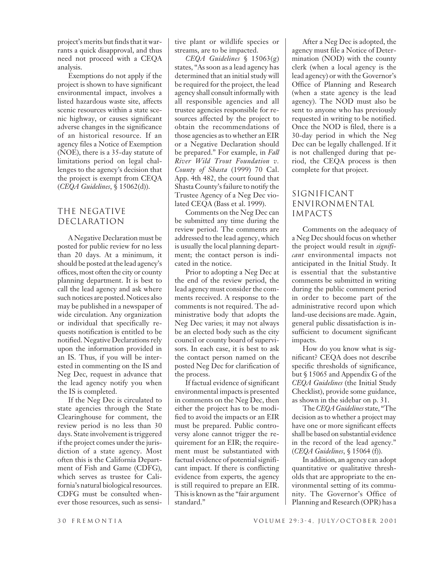project's merits but finds that it warrants a quick disapproval, and thus need not proceed with a CEQA analysis.

Exemptions do not apply if the project is shown to have significant environmental impact, involves a listed hazardous waste site, affects scenic resources within a state scenic highway, or causes significant adverse changes in the significance of an historical resource. If an agency files a Notice of Exemption (NOE), there is a 35-day statute of limitations period on legal challenges to the agency's decision that the project is exempt from CEQA (*CEQA Guidelines*, § 15062(d)).

### The Negative Declaration

A Negative Declaration must be posted for public review for no less than 20 days. At a minimum, it should be posted at the lead agency's offices, most often the city or county planning department. It is best to call the lead agency and ask where such notices are posted. Notices also may be published in a newspaper of wide circulation. Any organization or individual that specifically requests notification is entitled to be notified. Negative Declarations rely upon the information provided in an IS. Thus, if you will be interested in commenting on the IS and Neg Dec, request in advance that the lead agency notify you when the IS is completed.

If the Neg Dec is circulated to state agencies through the State Clearinghouse for comment, the review period is no less than 30 days. State involvement is triggered if the project comes under the jurisdiction of a state agency. Most often this is the California Department of Fish and Game (CDFG), which serves as trustee for California's natural biological resources. CDFG must be consulted whenever those resources, such as sensi-

tive plant or wildlife species or streams, are to be impacted.

*CEQA Guidelines* § 15063(g) states, "As soon as a lead agency has determined that an initial study will be required for the project, the lead agency shall consult informally with all responsible agencies and all trustee agencies responsible for resources affected by the project to obtain the recommendations of those agencies as to whether an EIR or a Negative Declaration should be prepared." For example, in *Fall River Wild Trout Foundation v. County of Shasta* (1999) 70 Cal. App. 4th 482, the court found that Shasta County's failure to notify the Trustee Agency of a Neg Dec violated CEQA (Bass et al. 1999).

Comments on the Neg Dec can be submitted any time during the review period. The comments are addressed to the lead agency, which is usually the local planning department; the contact person is indicated in the notice.

Prior to adopting a Neg Dec at the end of the review period, the lead agency must consider the comments received. A response to the comments is not required. The administrative body that adopts the Neg Dec varies; it may not always be an elected body such as the city council or county board of supervisors. In each case, it is best to ask the contact person named on the posted Neg Dec for clarification of the process.

If factual evidence of significant environmental impacts is presented in comments on the Neg Dec, then either the project has to be modified to avoid the impacts or an EIR must be prepared. Public controversy alone cannot trigger the requirement for an EIR; the requirement must be substantiated with factual evidence of potential significant impact. If there is conflicting evidence from experts, the agency is still required to prepare an EIR. This is known as the "fair argument standard."

After a Neg Dec is adopted, the agency must file a Notice of Determination (NOD) with the county clerk (when a local agency is the lead agency) or with the Governor's Office of Planning and Research (when a state agency is the lead agency). The NOD must also be sent to anyone who has previously requested in writing to be notified. Once the NOD is filed, there is a 30-day period in which the Neg Dec can be legally challenged. If it is not challenged during that period, the CEQA process is then complete for that project.

# Significant Environmental Impacts

Comments on the adequacy of a Neg Dec should focus on whether the project would result in *significant* environmental impacts not anticipated in the Initial Study. It is essential that the substantive comments be submitted in writing during the public comment period in order to become part of the administrative record upon which land-use decisions are made. Again, general public dissatisfaction is insufficient to document significant impacts.

How do you know what is significant? CEQA does not describe specific thresholds of significance, but § 15065 and Appendix G of the *CEQA Guidelines* (the Initial Study Checklist), provide some guidance, as shown in the sidebar on p. 31.

The *CEQA Guidelines* state, "The decision as to whether a project may have one or more significant effects shall be based on substantial evidence in the record of the lead agency." (*CEQA Guidelines*, § 15064 (f)).

In addition, an agency can adopt quantitative or qualitative thresholds that are appropriate to the environmental setting of its community. The Governor's Office of Planning and Research (OPR) has a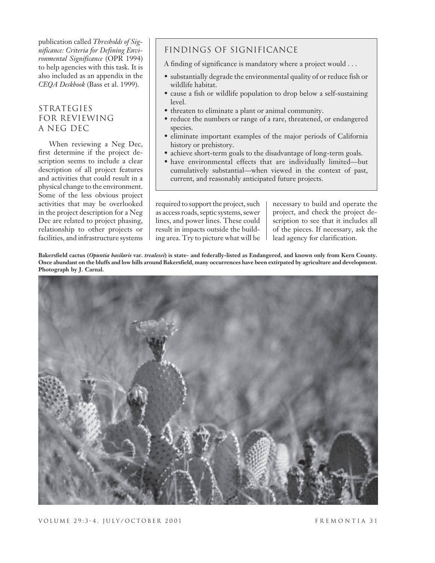publication called *Thresholds of Significance: Criteria for Defining Environmental Significance* (OPR 1994) to help agencies with this task. It is also included as an appendix in the *CEQA Deskbook* (Bass et al. 1999).

# **STRATEGIES** for Reviewing a Neg Dec

When reviewing a Neg Dec, first determine if the project description seems to include a clear description of all project features and activities that could result in a physical change to the environment. Some of the less obvious project activities that may be overlooked in the project description for a Neg Dec are related to project phasing, relationship to other projects or facilities, and infrastructure systems

# Findings of Significance

A finding of significance is mandatory where a project would . . .

- substantially degrade the environmental quality of or reduce fish or wildlife habitat.
- cause a fish or wildlife population to drop below a self-sustaining level.
- threaten to eliminate a plant or animal community.
- reduce the numbers or range of a rare, threatened, or endangered species.
- eliminate important examples of the major periods of California history or prehistory.
- achieve short-term goals to the disadvantage of long-term goals.
- have environmental effects that are individually limited—but cumulatively substantial—when viewed in the context of past, current, and reasonably anticipated future projects.

required to support the project, such as access roads, septic systems, sewer lines, and power lines. These could result in impacts outside the building area. Try to picture what will be necessary to build and operate the project, and check the project description to see that it includes all of the pieces. If necessary, ask the lead agency for clarification.

**Bakersfield cactus (***Opuntia basilaris* **var.** *trealesei***) is state- and federally-listed as Endangered, and known only from Kern County. Once abundant on the bluffs and low hills around Bakersfield, many occurrences have been extirpated by agriculture and development. Photograph by J. Carnal.**

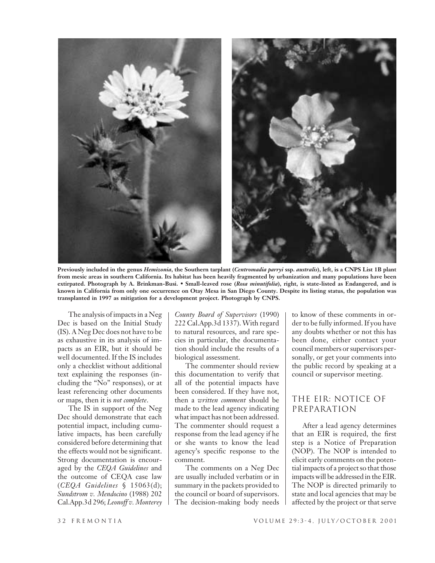

**Previously included in the genus** *Hemizonia***, the Southern tarplant (***Centromadia parryi* **ssp.** *australis***), left, is a CNPS List 1B plant from mesic areas in southern California. Its habitat has been heavily fragmented by urbanization and many populations have been extirpated. Photograph by A. Brinkman-Busi.** • **Small-leaved rose (***Rosa minutifolia***), right, is state-listed as Endangered, and is known in California from only one occurrence on Otay Mesa in San Diego County. Despite its listing status, the population was transplanted in 1997 as mitigation for a development project. Photograph by CNPS.**

The analysis of impacts in a Neg Dec is based on the Initial Study (IS). A Neg Dec does not have to be as exhaustive in its analysis of impacts as an EIR, but it should be well documented. If the IS includes only a checklist without additional text explaining the responses (including the "No" responses), or at least referencing other documents or maps, then it is *not complete*.

The IS in support of the Neg Dec should demonstrate that each potential impact, including cumulative impacts, has been carefully considered before determining that the effects would not be significant. Strong documentation is encouraged by the *CEQA Guidelines* and the outcome of CEQA case law (*CEQA Guidelines* § 15063(d); *Sundstrom v. Mendocino* (1988) 202 Cal.App.3d 296; *Leonoff v. Monterey*

*County Board of Supervisors* (1990) 222 Cal.App.3d 1337). With regard to natural resources, and rare species in particular, the documentation should include the results of a biological assessment.

The commenter should review this documentation to verify that all of the potential impacts have been considered. If they have not, then a *written comment* should be made to the lead agency indicating what impact has not been addressed. The commenter should request a response from the lead agency if he or she wants to know the lead agency's specific response to the comment.

The comments on a Neg Dec are usually included verbatim or in summary in the packets provided to the council or board of supervisors. The decision-making body needs to know of these comments in order to be fully informed. If you have any doubts whether or not this has been done, either contact your council members or supervisors personally, or get your comments into the public record by speaking at a council or supervisor meeting.

#### The EIR: Notice of Preparation

After a lead agency determines that an EIR is required, the first step is a Notice of Preparation (NOP). The NOP is intended to elicit early comments on the potential impacts of a project so that those impacts will be addressed in the EIR. The NOP is directed primarily to state and local agencies that may be affected by the project or that serve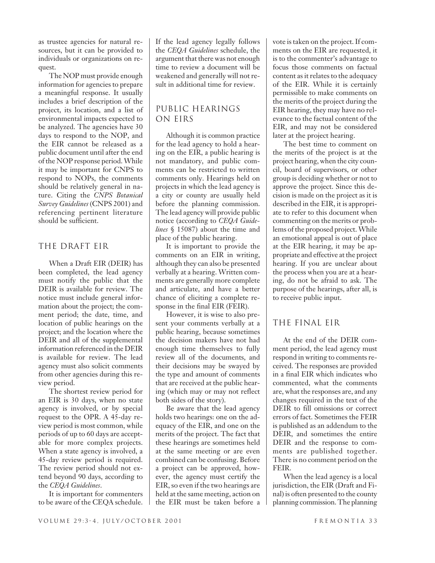as trustee agencies for natural resources, but it can be provided to individuals or organizations on request.

The NOP must provide enough information for agencies to prepare a meaningful response. It usually includes a brief description of the project, its location, and a list of environmental impacts expected to be analyzed. The agencies have 30 days to respond to the NOP, and the EIR cannot be released as a public document until after the end of the NOP response period. While it may be important for CNPS to respond to NOPs, the comments should be relatively general in nature. Citing the *CNPS Botanical Survey Guidelines* (CNPS 2001) and referencing pertinent literature should be sufficient.

#### The Draft EIR

When a Draft EIR (DEIR) has been completed, the lead agency must notify the public that the DEIR is available for review. The notice must include general information about the project; the comment period; the date, time, and location of public hearings on the project; and the location where the DEIR and all of the supplemental information referenced in the DEIR is available for review. The lead agency must also solicit comments from other agencies during this review period.

The shortest review period for an EIR is 30 days, when no state agency is involved, or by special request to the OPR. A 45-day review period is most common, while periods of up to 60 days are acceptable for more complex projects. When a state agency is involved, a 45-day review period is required. The review period should not extend beyond 90 days, according to the *CEQA Guidelines*.

It is important for commenters to be aware of the CEQA schedule. If the lead agency legally follows the *CEQA Guidelines* schedule, the argument that there was not enough time to review a document will be weakened and generally will not result in additional time for review.

# Public Hearings on EIRs

Although it is common practice for the lead agency to hold a hearing on the EIR, a public hearing is not mandatory, and public comments can be restricted to written comments only. Hearings held on projects in which the lead agency is a city or county are usually held before the planning commission. The lead agency will provide public notice (according to *CEQA Guidelines* § 15087) about the time and place of the public hearing.

It is important to provide the comments on an EIR in writing, although they can also be presented verbally at a hearing. Written comments are generally more complete and articulate, and have a better chance of eliciting a complete response in the final EIR (FEIR).

However, it is wise to also present your comments verbally at a public hearing, because sometimes the decision makers have not had enough time themselves to fully review all of the documents, and their decisions may be swayed by the type and amount of comments that are received at the public hearing (which may or may not reflect both sides of the story).

Be aware that the lead agency holds two hearings: one on the adequacy of the EIR, and one on the merits of the project. The fact that these hearings are sometimes held at the same meeting or are even combined can be confusing. Before a project can be approved, however, the agency must certify the EIR, so even if the two hearings are held at the same meeting, action on the EIR must be taken before a vote is taken on the project. If comments on the EIR are requested, it is to the commenter's advantage to focus those comments on factual content as it relates to the adequacy of the EIR. While it is certainly permissible to make comments on the merits of the project during the EIR hearing, they may have no relevance to the factual content of the EIR, and may not be considered later at the project hearing.

The best time to comment on the merits of the project is at the project hearing, when the city council, board of supervisors, or other group is deciding whether or not to approve the project. Since this decision is made on the project as it is described in the EIR, it is appropriate to refer to this document when commenting on the merits or problems of the proposed project. While an emotional appeal is out of place at the EIR hearing, it may be appropriate and effective at the project hearing. If you are unclear about the process when you are at a hearing, do not be afraid to ask. The purpose of the hearings, after all, is to receive public input.

#### The Final EIR

At the end of the DEIR comment period, the lead agency must respond in writing to comments received. The responses are provided in a final EIR which indicates who commented, what the comments are, what the responses are, and any changes required in the text of the DEIR to fill omissions or correct errors of fact. Sometimes the FEIR is published as an addendum to the DEIR, and sometimes the entire DEIR and the response to comments are published together. There is no comment period on the FEIR.

When the lead agency is a local jurisdiction, the EIR (Draft and Final) is often presented to the county planning commission. The planning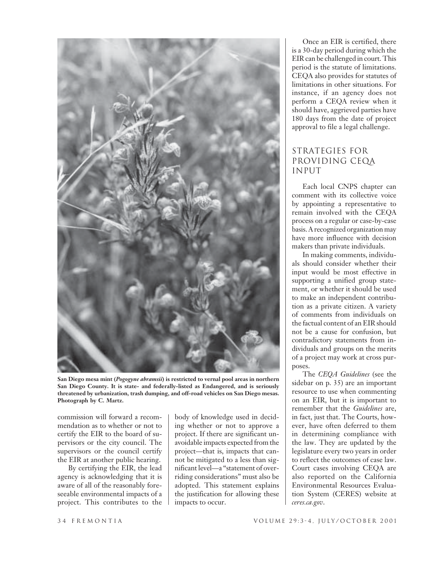

**San Diego mesa mint (***Pogogyne abramsii***) is restricted to vernal pool areas in northern San Diego County. It is state- and federally-listed as Endangered, and is seriously threatened by urbanization, trash dumping, and off-road vehicles on San Diego mesas. Photograph by C. Martz.**

commission will forward a recommendation as to whether or not to certify the EIR to the board of supervisors or the city council. The supervisors or the council certify the EIR at another public hearing.

By certifying the EIR, the lead agency is acknowledging that it is aware of all of the reasonably foreseeable environmental impacts of a project. This contributes to the

body of knowledge used in deciding whether or not to approve a project. If there are significant unavoidable impacts expected from the project—that is, impacts that cannot be mitigated to a less than significant level—a "statement of overriding considerations" must also be adopted. This statement explains the justification for allowing these impacts to occur.

Once an EIR is certified, there is a 30-day period during which the EIR can be challenged in court. This period is the statute of limitations. CEQA also provides for statutes of limitations in other situations. For instance, if an agency does not perform a CEQA review when it should have, aggrieved parties have 180 days from the date of project approval to file a legal challenge.

# Strategies for Providing CEQA **INPUT**

Each local CNPS chapter can comment with its collective voice by appointing a representative to remain involved with the CEQA process on a regular or case-by-case basis. A recognized organization may have more influence with decision makers than private individuals.

In making comments, individuals should consider whether their input would be most effective in supporting a unified group statement, or whether it should be used to make an independent contribution as a private citizen. A variety of comments from individuals on the factual content of an EIR should not be a cause for confusion, but contradictory statements from individuals and groups on the merits of a project may work at cross purposes.

The *CEQA Guidelines* (see the sidebar on p. 35) are an important resource to use when commenting on an EIR, but it is important to remember that the *Guidelines* are, in fact, just that. The Courts, however, have often deferred to them in determining compliance with the law. They are updated by the legislature every two years in order to reflect the outcomes of case law. Court cases involving CEQA are also reported on the California Environmental Resources Evaluation System (CERES) website at *ceres.ca.gov*.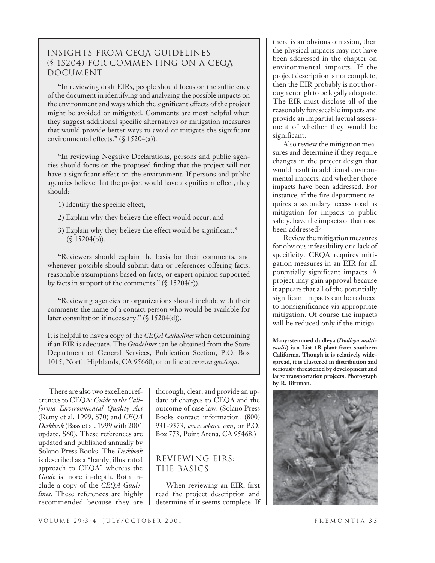# Insights from CEQA Guidelines (§ 15204) for commenting on a CEQA **DOCUMENT**

"In reviewing draft EIRs, people should focus on the sufficiency of the document in identifying and analyzing the possible impacts on the environment and ways which the significant effects of the project might be avoided or mitigated. Comments are most helpful when they suggest additional specific alternatives or mitigation measures that would provide better ways to avoid or mitigate the significant environmental effects." (§ 15204(a)).

"In reviewing Negative Declarations, persons and public agencies should focus on the proposed finding that the project will not have a significant effect on the environment. If persons and public agencies believe that the project would have a significant effect, they should:

- 1) Identify the specific effect,
- 2) Explain why they believe the effect would occur, and
- 3) Explain why they believe the effect would be significant." (§ 15204(b)).

"Reviewers should explain the basis for their comments, and whenever possible should submit data or references offering facts, reasonable assumptions based on facts, or expert opinion supported by facts in support of the comments."  $(\$ 15204(c))$ .

"Reviewing agencies or organizations should include with their comments the name of a contact person who would be available for later consultation if necessary." (§ 15204(d)).

It is helpful to have a copy of the *CEQA Guidelines* when determining if an EIR is adequate. The *Guidelines* can be obtained from the State Department of General Services, Publication Section, P.O. Box 1015, North Highlands, CA 95660, or online at *ceres.ca.gov/ceqa*.

There are also two excellent references to CEQA: *Guide to the California Environmental Quality Act* (Remy et al. 1999, \$70) and *CEQA Deskbook* (Bass et al. 1999 with 2001 update, \$60). These references are updated and published annually by Solano Press Books. The *Deskbook* is described as a "handy, illustrated approach to CEQA" whereas the *Guide* is more in-depth. Both include a copy of the *CEQA Guidelines*. These references are highly recommended because they are

thorough, clear, and provide an update of changes to CEQA and the outcome of case law. (Solano Press Books contact information: (800) 931-9373, *www.solano. com*, or P.O. Box 773, Point Arena, CA 95468.)

#### Reviewing EIRs: The Basics

When reviewing an EIR, first read the project description and determine if it seems complete. If there is an obvious omission, then the physical impacts may not have been addressed in the chapter on environmental impacts. If the project description is not complete, then the EIR probably is not thorough enough to be legally adequate. The EIR must disclose all of the reasonably foreseeable impacts and provide an impartial factual assessment of whether they would be significant.

Also review the mitigation measures and determine if they require changes in the project design that would result in additional environmental impacts, and whether those impacts have been addressed. For instance, if the fire department requires a secondary access road as mitigation for impacts to public safety, have the impacts of that road been addressed?

Review the mitigation measures for obvious infeasibility or a lack of specificity. CEQA requires mitigation measures in an EIR for all potentially significant impacts. A project may gain approval because it appears that all of the potentially significant impacts can be reduced to nonsignificance via appropriate mitigation. Of course the impacts will be reduced only if the mitiga-

**Many-stemmed dudleya (***Dudleya multicaulis***) is a List 1B plant from southern California. Though it is relatively widespread, it is clustered in distribution and seriously threatened by development and large transportation projects. Photograph by R. Bittman.**

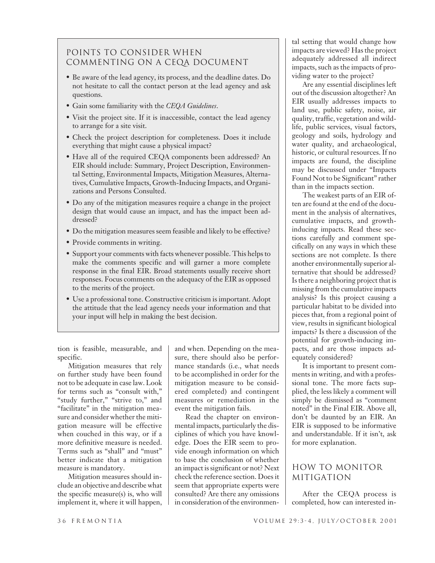# Points to Consider When Commenting on a CEQA Document

- Be aware of the lead agency, its process, and the deadline dates. Do not hesitate to call the contact person at the lead agency and ask questions.
- Gain some familiarity with the *CEQA Guidelines*.
- Visit the project site. If it is inaccessible, contact the lead agency to arrange for a site visit.
- Check the project description for completeness. Does it include everything that might cause a physical impact?
- Have all of the required CEQA components been addressed? An EIR should include: Summary, Project Description, Environmental Setting, Environmental Impacts, Mitigation Measures, Alternatives, Cumulative Impacts, Growth-Inducing Impacts, and Organizations and Persons Consulted.
- Do any of the mitigation measures require a change in the project design that would cause an impact, and has the impact been addressed?
- Do the mitigation measures seem feasible and likely to be effective?
- Provide comments in writing.
- Support your comments with facts whenever possible. This helps to make the comments specific and will garner a more complete response in the final EIR. Broad statements usually receive short responses. Focus comments on the adequacy of the EIR as opposed to the merits of the project.
- Use a professional tone. Constructive criticism is important. Adopt the attitude that the lead agency needs your information and that your input will help in making the best decision.

tion is feasible, measurable, and specific.

Mitigation measures that rely on further study have been found not to be adequate in case law. Look for terms such as "consult with," "study further," "strive to," and "facilitate" in the mitigation measure and consider whether the mitigation measure will be effective when couched in this way, or if a more definitive measure is needed. Terms such as "shall" and "must" better indicate that a mitigation measure is mandatory.

Mitigation measures should include an objective and describe what the specific measure(s) is, who will implement it, where it will happen,

and when. Depending on the measure, there should also be performance standards (i.e., what needs to be accomplished in order for the mitigation measure to be considered completed) and contingent measures or remediation in the event the mitigation fails.

Read the chapter on environmental impacts, particularly the disciplines of which you have knowledge. Does the EIR seem to provide enough information on which to base the conclusion of whether an impact is significant or not? Next check the reference section. Does it seem that appropriate experts were consulted? Are there any omissions in consideration of the environmental setting that would change how impacts are viewed? Has the project adequately addressed all indirect impacts, such as the impacts of providing water to the project?

Are any essential disciplines left out of the discussion altogether? An EIR usually addresses impacts to land use, public safety, noise, air quality, traffic, vegetation and wildlife, public services, visual factors, geology and soils, hydrology and water quality, and archaeological, historic, or cultural resources. If no impacts are found, the discipline may be discussed under "Impacts Found Not to be Significant" rather than in the impacts section.

The weakest parts of an EIR often are found at the end of the document in the analysis of alternatives, cumulative impacts, and growthinducing impacts. Read these sections carefully and comment specifically on any ways in which these sections are not complete. Is there another environmentally superior alternative that should be addressed? Is there a neighboring project that is missing from the cumulative impacts analysis? Is this project causing a particular habitat to be divided into pieces that, from a regional point of view, results in significant biological impacts? Is there a discussion of the potential for growth-inducing impacts, and are those impacts adequately considered?

It is important to present comments in writing, and with a professional tone. The more facts supplied, the less likely a comment will simply be dismissed as "comment noted" in the Final EIR. Above all, don't be daunted by an EIR. An EIR is supposed to be informative and understandable. If it isn't, ask for more explanation.

# How to Monitor Mitigation

After the CEQA process is completed, how can interested in-